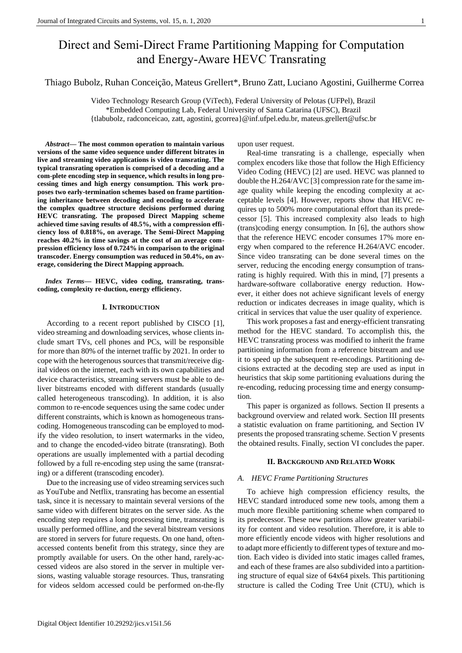# Direct and Semi-Direct Frame Partitioning Mapping for Computation and Energy-Aware HEVC Transrating

Thiago Bubolz, Ruhan Conceição, Mateus Grellert\*, Bruno Zatt, Luciano Agostini, Guilherme Correa

Video Technology Research Group (ViTech), Federal University of Pelotas (UFPel), Brazil \*Embedded Computing Lab, Federal University of Santa Catarina (UFSC), Brazil {tlabubolz, radconceicao, zatt, agostini, gcorrea}@inf.ufpel.edu.br, mateus.grellert@ufsc.br

*Abstract***— The most common operation to maintain various versions of the same video sequence under different bitrates in live and streaming video applications is video transrating. The typical transrating operation is comprised of a decoding and a com-plete encoding step in sequence, which results in long processing times and high energy consumption. This work proposes two early-termination schemes based on frame partitioning inheritance between decoding and encoding to accelerate the complex quadtree structure decisions performed during HEVC transrating. The proposed Direct Mapping scheme achieved time saving results of 48.5%, with a compression efficiency loss of 0.818%, on average. The Semi-Direct Mapping reaches 40.2% in time savings at the cost of an average compression efficiency loss of 0.724% in comparison to the original transcoder. Energy consumption was reduced in 50.4%, on average, considering the Direct Mapping approach.**

*Index Terms***— HEVC, video coding, transrating, transcoding, complexity re-duction, energy efficiency.**

#### **I. INTRODUCTION**

According to a recent report published by CISCO [1], video streaming and downloading services, whose clients include smart TVs, cell phones and PCs, will be responsible for more than 80% of the internet traffic by 2021. In order to cope with the heterogenous sources that transmit/receive digital videos on the internet, each with its own capabilities and device characteristics, streaming servers must be able to deliver bitstreams encoded with different standards (usually called heterogeneous transcoding). In addition, it is also common to re-encode sequences using the same codec under different constraints, which is known as homogeneous transcoding. Homogeneous transcoding can be employed to modify the video resolution, to insert watermarks in the video, and to change the encoded-video bitrate (transrating). Both operations are usually implemented with a partial decoding followed by a full re-encoding step using the same (transrating) or a different (transcoding encoder).

Due to the increasing use of video streaming services such as YouTube and Netflix, transrating has become an essential task, since it is necessary to maintain several versions of the same video with different bitrates on the server side. As the encoding step requires a long processing time, transrating is usually performed offline, and the several bitstream versions are stored in servers for future requests. On one hand, oftenaccessed contents benefit from this strategy, since they are promptly available for users. On the other hand, rarely-accessed videos are also stored in the server in multiple versions, wasting valuable storage resources. Thus, transrating for videos seldom accessed could be performed on-the-fly upon user request.

Real-time transrating is a challenge, especially when complex encoders like those that follow the High Efficiency Video Coding (HEVC) [2] are used. HEVC was planned to double the H.264/AVC [3] compression rate for the same image quality while keeping the encoding complexity at acceptable levels [4]. However, reports show that HEVC requires up to 500% more computational effort than its predecessor [5]. This increased complexity also leads to high (trans)coding energy consumption. In [6], the authors show that the reference HEVC encoder consumes 17% more energy when compared to the reference H.264/AVC encoder. Since video transrating can be done several times on the server, reducing the encoding energy consumption of transrating is highly required. With this in mind, [7] presents a hardware-software collaborative energy reduction. However, it either does not achieve significant levels of energy reduction or indicates decreases in image quality, which is critical in services that value the user quality of experience.

This work proposes a fast and energy-efficient transrating method for the HEVC standard. To accomplish this, the HEVC transrating process was modified to inherit the frame partitioning information from a reference bitstream and use it to speed up the subsequent re-encodings. Partitioning decisions extracted at the decoding step are used as input in heuristics that skip some partitioning evaluations during the re-encoding, reducing processing time and energy consumption.

This paper is organized as follows. Section II presents a background overview and related work. Section III presents a statistic evaluation on frame partitioning, and Section IV presents the proposed transrating scheme. Section V presents the obtained results. Finally, section VI concludes the paper.

# **II. BACKGROUND AND RELATED WORK**

## *A. HEVC Frame Partitioning Structures*

To achieve high compression efficiency results, the HEVC standard introduced some new tools, among them a much more flexible partitioning scheme when compared to its predecessor. These new partitions allow greater variability for content and video resolution. Therefore, it is able to more efficiently encode videos with higher resolutions and to adapt more efficiently to different types of texture and motion. Each video is divided into static images called frames, and each of these frames are also subdivided into a partitioning structure of equal size of 64x64 pixels. This partitioning structure is called the Coding Tree Unit (CTU), which is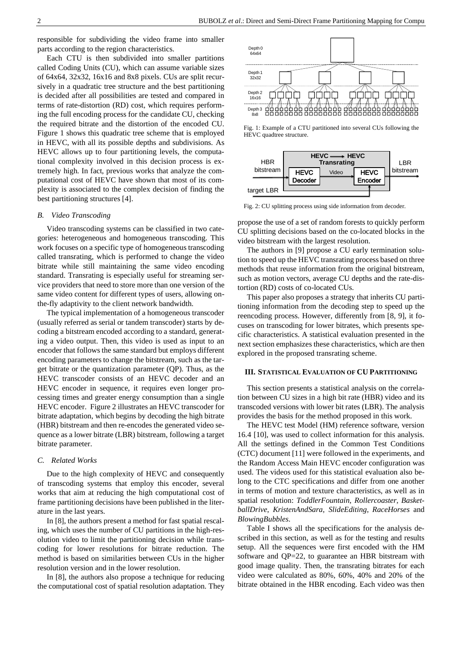responsible for subdividing the video frame into smaller parts according to the region characteristics.

Each CTU is then subdivided into smaller partitions called Coding Units (CU), which can assume variable sizes of 64x64, 32x32, 16x16 and 8x8 pixels. CUs are split recursively in a quadratic tree structure and the best partitioning is decided after all possibilities are tested and compared in terms of rate-distortion (RD) cost, which requires performing the full encoding process for the candidate CU, checking the required bitrate and the distortion of the encoded CU. Figure 1 shows this quadratic tree scheme that is employed in HEVC, with all its possible depths and subdivisions. As HEVC allows up to four partitioning levels, the computational complexity involved in this decision process is extremely high. In fact, previous works that analyze the computational cost of HEVC have shown that most of its complexity is associated to the complex decision of finding the best partitioning structures [4].

## *B. Video Transcoding*

Video transcoding systems can be classified in two categories: heterogeneous and homogeneous transcoding. This work focuses on a specific type of homogeneous transcoding called transrating, which is performed to change the video bitrate while still maintaining the same video encoding standard. Transrating is especially useful for streaming service providers that need to store more than one version of the same video content for different types of users, allowing onthe-fly adaptivity to the client network bandwidth.

The typical implementation of a homogeneous transcoder (usually referred as serial or tandem transcoder) starts by decoding a bitstream encoded according to a standard, generating a video output. Then, this video is used as input to an encoder that follows the same standard but employs different encoding parameters to change the bitstream, such as the target bitrate or the quantization parameter (QP). Thus, as the HEVC transcoder consists of an HEVC decoder and an HEVC encoder in sequence, it requires even longer processing times and greater energy consumption than a single HEVC encoder. Figure 2 illustrates an HEVC transcoder for bitrate adaptation, which begins by decoding the high bitrate (HBR) bitstream and then re-encodes the generated video sequence as a lower bitrate (LBR) bitstream, following a target bitrate parameter.

#### *C. Related Works*

Due to the high complexity of HEVC and consequently of transcoding systems that employ this encoder, several works that aim at reducing the high computational cost of frame partitioning decisions have been published in the literature in the last years.

In [8], the authors present a method for fast spatial rescaling, which uses the number of CU partitions in the high-resolution video to limit the partitioning decision while transcoding for lower resolutions for bitrate reduction. The method is based on similarities between CUs in the higher resolution version and in the lower resolution.

In [8], the authors also propose a technique for reducing the computational cost of spatial resolution adaptation. They



Fig. 1: Example of a CTU partitioned into several CUs following the HEVC quadtree structure.



Fig. 2: CU splitting process using side information from decoder.

propose the use of a set of random forests to quickly perform CU splitting decisions based on the co-located blocks in the video bitstream with the largest resolution.

The authors in [9] propose a CU early termination solution to speed up the HEVC transrating process based on three methods that reuse information from the original bitstream, such as motion vectors, average CU depths and the rate-distortion (RD) costs of co-located CUs.

This paper also proposes a strategy that inherits CU partitioning information from the decoding step to speed up the reencoding process. However, differently from [8, 9], it focuses on transcoding for lower bitrates, which presents specific characteristics. A statistical evaluation presented in the next section emphasizes these characteristics, which are then explored in the proposed transrating scheme.

#### **III. STATISTICAL EVALUATION OF CU PARTITIONING**

This section presents a statistical analysis on the correlation between CU sizes in a high bit rate (HBR) video and its transcoded versions with lower bit rates (LBR). The analysis provides the basis for the method proposed in this work.

The HEVC test Model (HM) reference software, version 16.4 [10], was used to collect information for this analysis. All the settings defined in the Common Test Conditions (CTC) document [11] were followed in the experiments, and the Random Access Main HEVC encoder configuration was used. The videos used for this statistical evaluation also belong to the CTC specifications and differ from one another in terms of motion and texture characteristics, as well as in spatial resolution: *ToddlerFountain*, *Rollercoaster*, *BasketballDrive*, *KristenAndSara*, *SlideEditing*, *RaceHorses* and *BlowingBubbles*.

Table I shows all the specifications for the analysis described in this section, as well as for the testing and results setup. All the sequences were first encoded with the HM software and QP=22, to guarantee an HBR bitstream with good image quality. Then, the transrating bitrates for each video were calculated as 80%, 60%, 40% and 20% of the bitrate obtained in the HBR encoding. Each video was then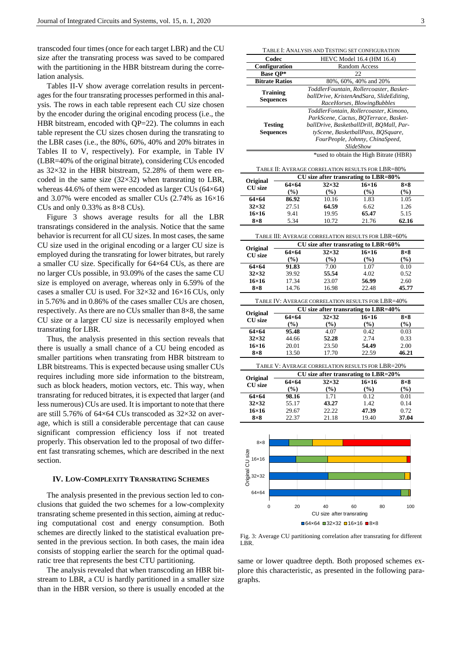transcoded four times (once for each target LBR) and the CU size after the transrating process was saved to be compared with the partitioning in the HBR bitstream during the correlation analysis.

Tables II-V show average correlation results in percentages for the four transrating processes performed in this analysis. The rows in each table represent each CU size chosen by the encoder during the original encoding process (i.e., the HBR bitstream, encoded with QP=22). The columns in each table represent the CU sizes chosen during the transrating to the LBR cases (i.e., the 80%, 60%, 40% and 20% bitrates in Tables II to V, respectively). For example, in Table IV (LBR=40% of the original bitrate), considering CUs encoded as 32×32 in the HBR bitstream, 52.28% of them were encoded in the same size  $(32\times32)$  when transrating to LBR, whereas 44.6% of them were encoded as larger CUs (64×64) and 3.07% were encoded as smaller CUs (2.74% as 16×16 CUs and only 0.33% as 8×8 CUs).

Figure 3 shows average results for all the LBR transratings considered in the analysis. Notice that the same behavior is recurrent for all CU sizes. In most cases, the same CU size used in the original encoding or a larger CU size is employed during the transrating for lower bitrates, but rarely a smaller CU size. Specifically for 64×64 CUs, as there are no larger CUs possible, in 93.09% of the cases the same CU size is employed on average, whereas only in 6.59% of the cases a smaller CU is used. For 32×32 and 16×16 CUs, only in 5.76% and in 0.86% of the cases smaller CUs are chosen, respectively. As there are no CUs smaller than 8×8, the same CU size or a larger CU size is necessarily employed when transrating for LBR.

Thus, the analysis presented in this section reveals that there is usually a small chance of a CU being encoded as smaller partitions when transrating from HBR bitstream to LBR bitstreams. This is expected because using smaller CUs requires including more side information to the bitstream, such as block headers, motion vectors, etc. This way, when transrating for reduced bitrates, it is expected that larger (and less numerous) CUs are used. It is important to note that there are still 5.76% of 64×64 CUs transcoded as 32×32 on average, which is still a considerable percentage that can cause significant compression efficiency loss if not treated properly. This observation led to the proposal of two different fast transrating schemes, which are described in the next section.

## **IV. LOW-COMPLEXITY TRANSRATING SCHEMES**

The analysis presented in the previous section led to conclusions that guided the two schemes for a low-complexity transrating scheme presented in this section, aiming at reducing computational cost and energy consumption. Both schemes are directly linked to the statistical evaluation presented in the previous section. In both cases, the main idea consists of stopping earlier the search for the optimal quadratic tree that represents the best CTU partitioning.

The analysis revealed that when transcoding an HBR bitstream to LBR, a CU is hardly partitioned in a smaller size than in the HBR version, so there is usually encoded at the

|                                                                                 |                        | TABLE I: ANALYSIS AND TESTING SET CONFIGURATION    |                                    |                   |  |  |  |  |  |  |
|---------------------------------------------------------------------------------|------------------------|----------------------------------------------------|------------------------------------|-------------------|--|--|--|--|--|--|
|                                                                                 | Codec                  | HEVC Model 16.4 (HM 16.4)                          |                                    |                   |  |  |  |  |  |  |
|                                                                                 | Configuration          | Random Access                                      |                                    |                   |  |  |  |  |  |  |
|                                                                                 | <b>Base QP*</b>        | 22                                                 |                                    |                   |  |  |  |  |  |  |
|                                                                                 | <b>Bitrate Ratios</b>  |                                                    | 80%, 60%, 40% and 20%              |                   |  |  |  |  |  |  |
|                                                                                 | <b>Training</b>        | ToddlerFountain, Rollercoaster, Basket-            |                                    |                   |  |  |  |  |  |  |
| <b>Sequences</b>                                                                |                        | ballDrive, KristenAndSara, SlideEditing,           |                                    |                   |  |  |  |  |  |  |
|                                                                                 |                        | RaceHorses, BlowingBubbles                         |                                    |                   |  |  |  |  |  |  |
| ToddlerFontain, Rollercoaster, Kimono,<br>ParkScene, Cactus, BOTerrace, Basket- |                        |                                                    |                                    |                   |  |  |  |  |  |  |
|                                                                                 | <b>Testing</b>         | ballDrive, BasketballDrill, BQMall, Par-           |                                    |                   |  |  |  |  |  |  |
|                                                                                 | <b>Sequences</b>       |                                                    | tyScene, BasketballPass, BOSquare, |                   |  |  |  |  |  |  |
|                                                                                 |                        |                                                    | FourPeople, Johnny, ChinaSpeed,    |                   |  |  |  |  |  |  |
|                                                                                 |                        |                                                    | SlideShow                          |                   |  |  |  |  |  |  |
| *used to obtain the High Bitrate (HBR)                                          |                        |                                                    |                                    |                   |  |  |  |  |  |  |
|                                                                                 |                        |                                                    |                                    |                   |  |  |  |  |  |  |
|                                                                                 |                        | TABLE II: AVERAGE CORRELATION RESULTS FOR LBR=80%  |                                    |                   |  |  |  |  |  |  |
| Original                                                                        |                        | CU size after transrating to LBR=80%               |                                    |                   |  |  |  |  |  |  |
| <b>CU</b> size                                                                  | $64\times64$           | $32\times32$                                       | $16\times16$                       | $8\times8$        |  |  |  |  |  |  |
| $64\times64$                                                                    | (%)<br>86.92           | $\frac{(\%)}{(\%)}$<br>10.16                       | (%)<br>1.83                        | $(\%)$<br>1.05    |  |  |  |  |  |  |
| $32\times32$                                                                    | 27.51                  | 64.59                                              | 6.62                               | 1.26              |  |  |  |  |  |  |
| $16\times16$                                                                    | 9.41                   | 19.95                                              | 65.47                              | 5.15              |  |  |  |  |  |  |
| $8\times8$                                                                      | 5.34                   | 10.72                                              | 21.76                              | 62.16             |  |  |  |  |  |  |
|                                                                                 |                        |                                                    |                                    |                   |  |  |  |  |  |  |
|                                                                                 |                        | TABLE III: AVERAGE CORRELATION RESULTS FOR LBR=60% |                                    |                   |  |  |  |  |  |  |
| Original                                                                        |                        | CU size after transrating to LBR=60%               |                                    |                   |  |  |  |  |  |  |
| <b>CU</b> size                                                                  | $64\times64$           | $32\times32$                                       | $16\times 16$                      | $8\times8$        |  |  |  |  |  |  |
|                                                                                 | $(\%)$                 | $(\%)$                                             | (%)                                | $(\%)$            |  |  |  |  |  |  |
| $64\times64$                                                                    | 91.83                  | 7.00                                               | 1.07                               | 0.10              |  |  |  |  |  |  |
| $32\times32$<br>$16\times16$                                                    | 39.92<br>17.34         | 55.54<br>23.07                                     | 4.02<br>56.99                      | 0.52<br>2.60      |  |  |  |  |  |  |
| $8\times8$                                                                      | 14.76                  | 16.98                                              | 22.48                              | 45.77             |  |  |  |  |  |  |
|                                                                                 |                        |                                                    |                                    |                   |  |  |  |  |  |  |
| TABLE IV: AVERAGE CORRELATION RESULTS FOR LBR=40%                               |                        |                                                    |                                    |                   |  |  |  |  |  |  |
| Original                                                                        |                        | CU size after transrating to LBR=40%               |                                    |                   |  |  |  |  |  |  |
| <b>CU</b> size                                                                  | $64\times64$           | $32\times32$                                       | $16\times 16$                      | $8\times8$        |  |  |  |  |  |  |
|                                                                                 | $(\%)$                 | $(\%)$                                             | $(\%)$                             | $(\%)$            |  |  |  |  |  |  |
| $64\times64$<br>$32\times32$                                                    | 95.48<br>44.66         | 4.07<br>52.28                                      | 0.42<br>2.74                       | 0.03<br>0.33      |  |  |  |  |  |  |
| $16\times16$                                                                    | 20.01                  | 23.50                                              | 54.49                              | 2.00              |  |  |  |  |  |  |
| $8\times8$                                                                      | 13.50                  | 17.70                                              | 22.59                              | 46.21             |  |  |  |  |  |  |
|                                                                                 |                        |                                                    |                                    |                   |  |  |  |  |  |  |
|                                                                                 |                        | TABLE V: AVERAGE CORRELATION RESULTS FOR LBR=20%   |                                    |                   |  |  |  |  |  |  |
| Original                                                                        |                        | CU size after transrating to LBR=20%               |                                    |                   |  |  |  |  |  |  |
| <b>CU</b> size                                                                  | $64\times64$<br>$(\%)$ | $32\times32$<br>$(\%)$                             | $16\times16$<br>$(\%)$             | $8\times8$<br>(%) |  |  |  |  |  |  |
| $64\times 64$                                                                   | 98.16                  | 1.71                                               | 0.12                               | 0.01              |  |  |  |  |  |  |
| $32\times32$                                                                    | 55.17                  | 43.27                                              | 1.42                               | 0.14              |  |  |  |  |  |  |
| 16×16                                                                           | 29.67                  | 22.22                                              | 47.39                              | 0.72              |  |  |  |  |  |  |
| $8\times8$                                                                      | 22.37                  | 21.18                                              | 19.40                              | 37.04             |  |  |  |  |  |  |
|                                                                                 |                        |                                                    |                                    |                   |  |  |  |  |  |  |
|                                                                                 |                        |                                                    |                                    |                   |  |  |  |  |  |  |
| $8\times8$                                                                      |                        |                                                    |                                    |                   |  |  |  |  |  |  |
|                                                                                 |                        |                                                    |                                    |                   |  |  |  |  |  |  |
| Original CU size<br>$16 \times 16$                                              |                        |                                                    |                                    |                   |  |  |  |  |  |  |
|                                                                                 |                        |                                                    |                                    |                   |  |  |  |  |  |  |
| 32×32                                                                           |                        |                                                    |                                    |                   |  |  |  |  |  |  |
|                                                                                 |                        |                                                    |                                    |                   |  |  |  |  |  |  |
| 64×64                                                                           |                        |                                                    |                                    |                   |  |  |  |  |  |  |
|                                                                                 |                        |                                                    |                                    |                   |  |  |  |  |  |  |
| 0                                                                               | 20                     | 40                                                 | 80<br>60                           | 100               |  |  |  |  |  |  |
|                                                                                 |                        | CU size after transrating                          |                                    |                   |  |  |  |  |  |  |

Fig. 3: Average CU partitioning correlation after transrating for different

 $\blacksquare$ 64×64  $\blacksquare$ 32×32  $\square$ 16×16  $\square$ 8×8

LBR.

same or lower quadtree depth. Both proposed schemes explore this characteristic, as presented in the following paragraphs.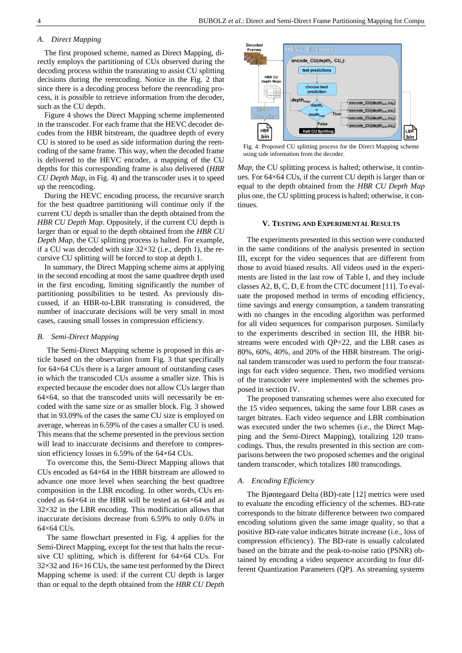# *A. Direct Mapping*

The first proposed scheme, named as Direct Mapping, directly employs the partitioning of CUs observed during the decoding process within the transrating to assist CU splitting decisions during the reencoding. Notice in the Fig. 2 that since there is a decoding process before the reencoding process, it is possible to retrieve information from the decoder, such as the CU depth.

Figure 4 shows the Direct Mapping scheme implemented in the transcoder. For each frame that the HEVC decoder decodes from the HBR bitstream, the quadtree depth of every CU is stored to be used as side information during the reencoding of the same frame. This way, when the decoded frame is delivered to the HEVC encoder, a mapping of the CU depths for this corresponding frame is also delivered (*HBR CU Depth Map*, in Fig. 4) and the transcoder uses it to speed up the reencoding.

During the HEVC encoding process, the recursive search for the best quadtree partitioning will continue only if the current CU depth is smaller than the depth obtained from the *HBR CU Depth Map*. Oppositely, if the current CU depth is larger than or equal to the depth obtained from the *HBR CU Depth Map*, the CU splitting process is halted. For example, if a CU was decoded with size  $32\times32$  (i.e., depth 1), the recursive CU splitting will be forced to stop at depth 1.

In summary, the Direct Mapping scheme aims at applying in the second encoding at most the same quadtree depth used in the first encoding, limiting significantly the number of partitioning possibilities to be tested. As previously discussed, if an HBR-to-LBR transrating is considered, the number of inaccurate decisions will be very small in most cases, causing small losses in compression efficiency.

#### *B. Semi-Direct Mapping*

The Semi-Direct Mapping scheme is proposed in this article based on the observation from Fig. 3 that specifically for 64×64 CUs there is a larger amount of outstanding cases in which the transcoded CUs assume a smaller size. This is expected because the encoder does not allow CUs larger than  $64\times64$ , so that the transcoded units will necessarily be encoded with the same size or as smaller block. Fig. 3 showed that in 93.09% of the cases the same CU size is employed on average, whereas in 6.59% of the cases a smaller CU is used. This means that the scheme presented in the previous section will lead to inaccurate decisions and therefore to compression efficiency losses in 6.59% of the 64×64 CUs.

To overcome this, the Semi-Direct Mapping allows that CUs encoded as 64×64 in the HBR bitstream are allowed to advance one more level when searching the best quadtree composition in the LBR encoding. In other words, CUs encoded as 64×64 in the HBR will be tested as 64×64 and as  $32\times32$  in the LBR encoding. This modification allows that inaccurate decisions decrease from 6.59% to only 0.6% in 64×64 CUs.

The same flowchart presented in Fig. 4 applies for the Semi-Direct Mapping, except for the test that halts the recursive CU splitting, which is different for 64×64 CUs. For  $32\times32$  and  $16\times16$  CUs, the same test performed by the Direct Mapping scheme is used: if the current CU depth is larger than or equal to the depth obtained from the *HBR CU Depth* 



Fig. 4: Proposed CU splitting process for the Direct Mapping scheme using side information from the decoder.

*Map*, the CU splitting process is halted; otherwise, it continues. For 64×64 CUs, if the current CU depth is larger than or equal to the depth obtained from the *HBR CU Depth Map* plus one, the CU splitting process is halted; otherwise, it continues.

#### **V. TESTING AND EXPERIMENTAL RESULTS**

The experiments presented in this section were conducted in the same conditions of the analysis presented in section III, except for the video sequences that are different from those to avoid biased results. All videos used in the experiments are listed in the last row of Table I, and they include classes A2, B, C, D, E from the CTC document [11]. To evaluate the proposed method in terms of encoding efficiency, time savings and energy consumption, a tandem transrating with no changes in the encoding algorithm was performed for all video sequences for comparison purposes. Similarly to the experiments described in section III, the HBR bitstreams were encoded with QP=22, and the LBR cases as 80%, 60%, 40%, and 20% of the HBR bitstream. The original tandem transcoder was used to perform the four transratings for each video sequence. Then, two modified versions of the transcoder were implemented with the schemes proposed in section IV.

The proposed transrating schemes were also executed for the 15 video sequences, taking the same four LBR cases as target bitrates. Each video sequence and LBR combination was executed under the two schemes (i.e., the Direct Mapping and the Semi-Direct Mapping), totalizing 120 transcodings. Thus, the results presented in this section are comparisons between the two proposed schemes and the original tandem transcoder, which totalizes 180 transcodings.

## *A. Encoding Efficiency*

The Bjøntegaard Delta (BD)-rate [12] metrics were used to evaluate the encoding efficiency of the schemes. BD-rate corresponds to the bitrate difference between two compared encoding solutions given the same image quality, so that a positive BD-rate value indicates bitrate increase (i.e., loss of compression efficiency). The BD-rate is usually calculated based on the bitrate and the peak-to-noise ratio (PSNR) obtained by encoding a video sequence according to four different Quantization Parameters (QP). As streaming systems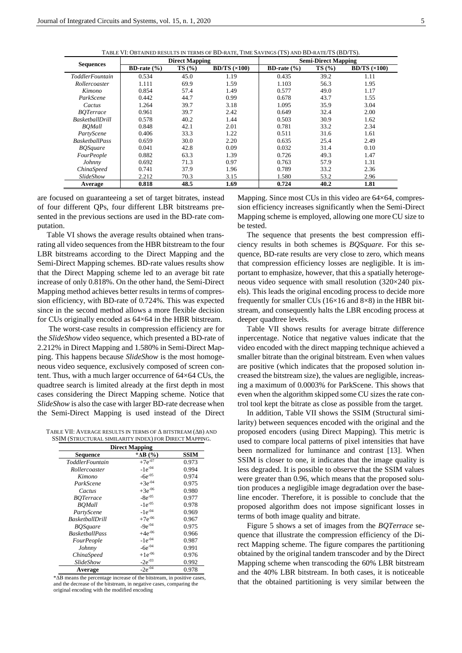TABLE VI: OBTAINED RESULTS IN TERMS OF BD-RATE, TIME SAVINGS (TS) AND BD-RATE/TS (BD/TS).

|                        |                 | <b>Direct Mapping</b> |                    | <b>Semi-Direct Mapping</b> |       |                    |  |  |
|------------------------|-----------------|-----------------------|--------------------|----------------------------|-------|--------------------|--|--|
| <b>Sequences</b>       | BD-rate $(\% )$ | TS(%)                 | $BD/TS \times 100$ | <b>BD-rate</b> $(\% )$     | TS(%) | $BD/TS \times 100$ |  |  |
| ToddlerFountain        | 0.534           | 45.0                  | 1.19               | 0.435                      | 39.2  | 1.11               |  |  |
| Rollercoaster          | 1.111           | 69.9                  | 1.59               | 1.103                      | 56.3  | 1.95               |  |  |
| Kimono                 | 0.854           | 57.4                  | 1.49               | 0.577                      | 49.0  | 1.17               |  |  |
| ParkScene              | 0.442           | 44.7                  | 0.99               | 0.678                      | 43.7  | 1.55               |  |  |
| Cactus                 | 1.264           | 39.7                  | 3.18               | 1.095                      | 35.9  | 3.04               |  |  |
| <b>BOTerrace</b>       | 0.961           | 39.7                  | 2.42               | 0.649                      | 32.4  | 2.00               |  |  |
| <b>BasketballDrill</b> | 0.578           | 40.2                  | 1.44               | 0.503                      | 30.9  | 1.62               |  |  |
| <b>BOMall</b>          | 0.848           | 42.1                  | 2.01               | 0.781                      | 33.2  | 2.34               |  |  |
| PartyScene             | 0.406           | 33.3                  | 1.22               | 0.511                      | 31.6  | 1.61               |  |  |
| <b>BasketballPass</b>  | 0.659           | 30.0                  | 2.20               | 0.635                      | 25.4  | 2.49               |  |  |
| <b>BOSquare</b>        | 0.041           | 42.8                  | 0.09               | 0.032                      | 31.4  | 0.10               |  |  |
| <b>FourPeople</b>      | 0.882           | 63.3                  | 1.39               | 0.726                      | 49.3  | 1.47               |  |  |
| Johnny                 | 0.692           | 71.3                  | 0.97               | 0.763                      | 57.9  | 1.31               |  |  |
| ChinaSpeed             | 0.741           | 37.9                  | 1.96               | 0.789                      | 33.2  | 2.36               |  |  |
| <i>SlideShow</i>       | 2.212           | 70.3                  | 3.15               | 1.580                      | 53.2  | 2.96               |  |  |
| Average                | 0.818           | 48.5                  | 1.69               | 0.724                      | 40.2  | 1.81               |  |  |

are focused on guaranteeing a set of target bitrates, instead of four different QPs, four different LBR bitstreams presented in the previous sections are used in the BD-rate computation.

Table VI shows the average results obtained when transrating all video sequences from the HBR bitstream to the four LBR bitstreams according to the Direct Mapping and the Semi-Direct Mapping schemes. BD-rate values results show that the Direct Mapping scheme led to an average bit rate increase of only 0.818%. On the other hand, the Semi-Direct Mapping method achieves better results in terms of compression efficiency, with BD-rate of 0.724%. This was expected since in the second method allows a more flexible decision for CUs originally encoded as 64×64 in the HBR bitstream.

The worst-case results in compression efficiency are for the *SlideShow* video sequence, which presented a BD-rate of 2.212% in Direct Mapping and 1.580% in Semi-Direct Mapping. This happens because *SlideShow* is the most homogeneous video sequence, exclusively composed of screen content. Thus, with a much larger occurrence of 64×64 CUs, the quadtree search is limited already at the first depth in most cases considering the Direct Mapping scheme. Notice that *SlideShow* is also the case with larger BD-rate decrease when the Semi-Direct Mapping is used instead of the Direct

TABLE VII: AVERAGE RESULTS IN TERMS OF Δ BITSTREAM (ΔB) AND SSIM (STRUCTURAL SIMILARITY INDEX) FOR DIRECT MAPPING.

| <b>Direct Mapping</b>                |              |       |  |  |  |  |  |  |  |
|--------------------------------------|--------------|-------|--|--|--|--|--|--|--|
| SSIM<br>* $\Delta B$ (%)<br>Sequence |              |       |  |  |  |  |  |  |  |
| <i>ToddlerFountain</i>               | $+7e^{-07}$  | 0.973 |  |  |  |  |  |  |  |
| Rollercoaster                        | $-1e^{-04}$  | 0.994 |  |  |  |  |  |  |  |
| Kimono                               | $-6e^{-05}$  | 0.974 |  |  |  |  |  |  |  |
| ParkScene                            | $+3e^{-04}$  | 0.975 |  |  |  |  |  |  |  |
| Cactus                               | $+3e^{-06}$  | 0.980 |  |  |  |  |  |  |  |
| <i>BOTerrace</i>                     | $-8e^{-05}$  | 0.977 |  |  |  |  |  |  |  |
| <b>BOMall</b>                        | $-1e^{-0.5}$ | 0.978 |  |  |  |  |  |  |  |
| PartyScene                           | $-1e^{-04}$  | 0.969 |  |  |  |  |  |  |  |
| <b>BasketballDrill</b>               | $+7e^{-06}$  | 0.967 |  |  |  |  |  |  |  |
| <b>BOSquare</b>                      | $-9e^{-04}$  | 0.975 |  |  |  |  |  |  |  |
| <b>BasketballPass</b>                | $+4e^{-06}$  | 0.966 |  |  |  |  |  |  |  |
| <i>FourPeople</i>                    | $-1e^{-04}$  | 0.987 |  |  |  |  |  |  |  |
| Johnny                               | $-6e^{-04}$  | 0.991 |  |  |  |  |  |  |  |
| ChinaSpeed                           | $+1e^{-06}$  | 0.976 |  |  |  |  |  |  |  |
| SlideShow                            | $-2e^{-03}$  | 0.992 |  |  |  |  |  |  |  |
| Average                              | $-2e^{-04}$  | 0.978 |  |  |  |  |  |  |  |

\*ΔB means the percentage increase of the bitstream, in positive cases, and the decrease of the bitstream, in negative cases, comparing the original encoding with the modified encoding

Mapping. Since most CUs in this video are  $64\times64$ , compression efficiency increases significantly when the Semi-Direct Mapping scheme is employed, allowing one more CU size to be tested.

The sequence that presents the best compression efficiency results in both schemes is *BQSquare*. For this sequence, BD-rate results are very close to zero, which means that compression efficiency losses are negligible. It is important to emphasize, however, that this a spatially heterogeneous video sequence with small resolution (320×240 pixels). This leads the original encoding process to decide more frequently for smaller CUs ( $16\times16$  and  $8\times8$ ) in the HBR bitstream, and consequently halts the LBR encoding process at deeper quadtree levels.

Table VII shows results for average bitrate difference inpercentage. Notice that negative values indicate that the video encoded with the direct mapping technique achieved a smaller bitrate than the original bitstream. Even when values are positive (which indicates that the proposed solution increased the bitstream size), the values are negligible, increasing a maximum of 0.0003% for ParkScene. This shows that even when the algorithm skipped some CU sizes the rate control tool kept the bitrate as close as possible from the target.

In addition, Table VII shows the SSIM (Structural similarity) between sequences encoded with the original and the proposed encoders (using Direct Mapping). This metric is used to compare local patterns of pixel intensities that have been normalized for luminance and contrast [13]. When SSIM is closer to one, it indicates that the image quality is less degraded. It is possible to observe that the SSIM values were greater than 0.96, which means that the proposed solution produces a negligible image degradation over the baseline encoder. Therefore, it is possible to conclude that the proposed algorithm does not impose significant losses in terms of both image quality and bitrate.

Figure 5 shows a set of images from the *BQTerrace* sequence that illustrate the compression efficiency of the Direct Mapping scheme. The figure compares the partitioning obtained by the original tandem transcoder and by the Direct Mapping scheme when transcoding the 60% LBR bitstream and the 40% LBR bitstream. In both cases, it is noticeable that the obtained partitioning is very similar between the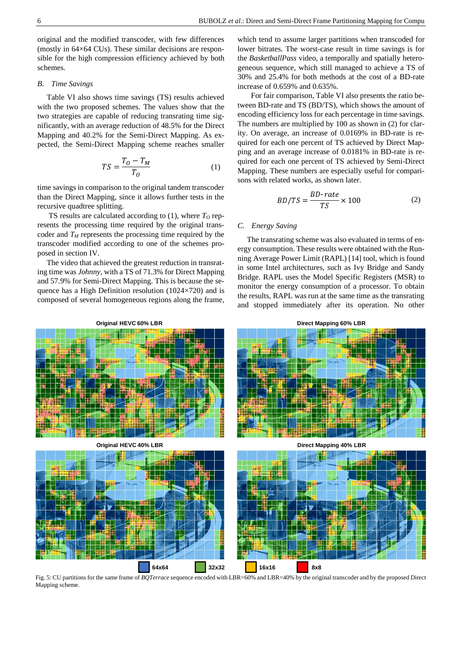original and the modified transcoder, with few differences (mostly in 64×64 CUs). These similar decisions are responsible for the high compression efficiency achieved by both schemes.

## *B. Time Savings*

Table VI also shows time savings (TS) results achieved with the two proposed schemes. The values show that the two strategies are capable of reducing transrating time significantly, with an average reduction of 48.5% for the Direct Mapping and 40.2% for the Semi-Direct Mapping. As expected, the Semi-Direct Mapping scheme reaches smaller

$$
TS = \frac{T_O - T_M}{T_O} \tag{1}
$$

time savings in comparison to the original tandem transcoder than the Direct Mapping, since it allows further tests in the recursive quadtree splitting.

TS results are calculated according to (1), where *T<sup>O</sup>* represents the processing time required by the original transcoder and *T<sup>M</sup>* represents the processing time required by the transcoder modified according to one of the schemes proposed in section IV.

The video that achieved the greatest reduction in transrating time was *Johnny*, with a TS of 71.3% for Direct Mapping and 57.9% for Semi-Direct Mapping. This is because the sequence has a High Definition resolution (1024×720) and is composed of several homogeneous regions along the frame,

which tend to assume larger partitions when transcoded for lower bitrates. The worst-case result in time savings is for the *BasketballPass* video, a temporally and spatially heterogeneous sequence, which still managed to achieve a TS of 30% and 25.4% for both methods at the cost of a BD-rate increase of 0.659% and 0.635%.

For fair comparison, Table VI also presents the ratio between BD-rate and TS (BD/TS), which shows the amount of encoding efficiency loss for each percentage in time savings. The numbers are multiplied by 100 as shown in (2) for clarity. On average, an increase of 0.0169% in BD-rate is required for each one percent of TS achieved by Direct Mapping and an average increase of 0.0181% in BD-rate is required for each one percent of TS achieved by Semi-Direct Mapping. These numbers are especially useful for comparisons with related works, as shown later.

$$
BD/TS = \frac{BD\text{-}rate}{TS} \times 100\tag{2}
$$

# *C. Energy Saving*

The transrating scheme was also evaluated in terms of energy consumption. These results were obtained with the Running Average Power Limit (RAPL) [14] tool, which is found in some Intel architectures, such as Ivy Bridge and Sandy Bridge. RAPL uses the Model Specific Registers (MSR) to monitor the energy consumption of a processor. To obtain the results, RAPL was run at the same time as the transrating and stopped immediately after its operation. No other



Fig. 5: CU partitions for the same frame of *BQTerrace* sequence encoded with LBR=60% and LBR=40% by the original transcoder and by the proposed Direct Mapping scheme.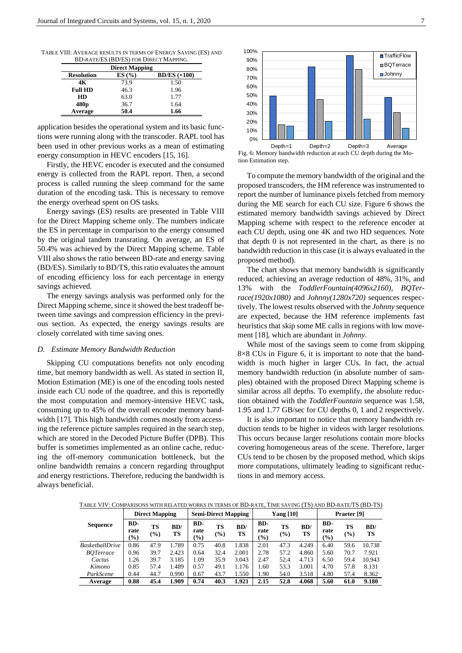TABLE VIII: AVERAGE RESULTS IN TERMS OF ENERGY SAVING (ES) AND BD-RATE/ES (BD/ES) FOR DIRECT MAPPING.

|                   | <b>Direct Mapping</b> |                         |
|-------------------|-----------------------|-------------------------|
| <b>Resolution</b> | ES(%)                 | $BD/ES$ ( $\times$ 100) |
| 4К                | 73.9                  | 1.50                    |
| <b>Full HD</b>    | 46.3                  | 1.96                    |
| HD                | 63.0                  | 1.77                    |
| 480 <sub>p</sub>  | 36.7                  | 1.64                    |
| Average           | 50.4                  | 1.66                    |

application besides the operational system and its basic functions were running along with the transcoder. RAPL tool has been used in other previous works as a mean of estimating energy consumption in HEVC encoders [15, 16].

Firstly, the HEVC encoder is executed and the consumed energy is collected from the RAPL report. Then, a second process is called running the sleep command for the same duration of the encoding task. This is necessary to remove the energy overhead spent on OS tasks.

Energy savings (ES) results are presented in Table VIII for the Direct Mapping scheme only. The numbers indicate the ES in percentage in comparison to the energy consumed by the original tandem transrating. On average, an ES of 50.4% was achieved by the Direct Mapping scheme. Table VIII also shows the ratio between BD-rate and energy saving (BD/ES). Similarly to BD/TS, this ratio evaluates the amount of encoding efficiency loss for each percentage in energy savings achieved.

The energy savings analysis was performed only for the Direct Mapping scheme, since it showed the best tradeoff between time savings and compression efficiency in the previous section. As expected, the energy savings results are closely correlated with time saving ones.

#### *D. Estimate Memory Bandwidth Reduction*

Skipping CU computations benefits not only encoding time, but memory bandwidth as well. As stated in section II, Motion Estimation (ME) is one of the encoding tools nested inside each CU node of the quadtree, and this is reportedly the most computation and memory-intensive HEVC task, consuming up to 45% of the overall encoder memory bandwidth [17]. This high bandwidth comes mostly from accessing the reference picture samples required in the search step, which are stored in the Decoded Picture Buffer (DPB). This buffer is sometimes implemented as an online cache, reducing the off-memory communication bottleneck, but the online bandwidth remains a concern regarding throughput and energy restrictions. Therefore, reducing the bandwidth is always beneficial.



Fig. 6: Memory bandwidth reduction at each CU depth during the Motion Estimation step.

To compute the memory bandwidth of the original and the proposed transcoders, the HM reference was instrumented to report the number of luminance pixels fetched from memory during the ME search for each CU size. Figure 6 shows the estimated memory bandwidth savings achieved by Direct Mapping scheme with respect to the reference encoder at each CU depth, using one 4K and two HD sequences. Note that depth 0 is not represented in the chart, as there is no bandwidth reduction in this case (it is always evaluated in the proposed method).

The chart shows that memory bandwidth is significantly reduced, achieving an average reduction of 48%, 31%, and 13% with the *ToddlerFountain(4096x2160)*, *BQTerrace(1920x1080)* and *Johnny(1280x720)* sequences respectively. The lowest results observed with the *Johnny* sequence are expected, because the HM reference implements fast heuristics that skip some ME calls in regions with low movement [18], which are abundant in *Johnny*.

While most of the savings seem to come from skipping 8×8 CUs in Figure 6, it is important to note that the bandwidth is much higher in larger CUs. In fact, the actual memory bandwidth reduction (in absolute number of samples) obtained with the proposed Direct Mapping scheme is similar across all depths. To exemplify, the absolute reduction obtained with the *ToddlerFountain* sequence was 1.58, 1.95 and 1.77 GB/sec for CU depths 0, 1 and 2 respectively.

It is also important to notice that memory bandwidth reduction tends to be higher in videos with larger resolutions. This occurs because larger resolutions contain more blocks covering homogeneous areas of the scene. Therefore, larger CUs tend to be chosen by the proposed method, which skips more computations, ultimately leading to significant reductions in and memory access.

TABLE VIV: COMPARISONS WITH RELATED WORKS IN TERMS OF BD-RATE, TIME SAVING (TS) AND BD-RATE/TS (BD-TS)

|                        | <b>Direct Mapping</b> |              | <b>Semi-Direct Mapping</b> |                              | <b>Yang</b> [10] |                  |                              | Praeter [9] |           |                                           |           |           |
|------------------------|-----------------------|--------------|----------------------------|------------------------------|------------------|------------------|------------------------------|-------------|-----------|-------------------------------------------|-----------|-----------|
| <b>Sequence</b>        | BD-<br>rate<br>$(\%)$ | TS<br>$(\%)$ | BD/<br>TS                  | BD-<br>rate<br>$\frac{9}{0}$ | TS<br>(%)        | BD/<br><b>TS</b> | BD-<br>rate<br>$\frac{9}{6}$ | TS<br>(%)   | BD/<br>TS | BD-<br>rate<br>$\left(\frac{0}{0}\right)$ | TS<br>(%) | BD/<br>TS |
| <b>BasketballDrive</b> | 0.86                  | 47.9         | 1.789                      | 0.75                         | 40.8             | 1.838            | 2.01                         | 47.3        | 4.249     | 6.40                                      | 59.6      | 10.738    |
| <b>BOTerrace</b>       | 0.96                  | 39.7         | 2.423                      | 0.64                         | 32.4             | 2.001            | 2.78                         | 57.2        | 4.860     | 5.60                                      | 70.7      | 7.921     |
| Cactus                 | 1.26                  | 39.7         | 3.185                      | 1.09                         | 35.9             | 3.043            | 2.47                         | 52.4        | 4.713     | 6.50                                      | 59.4      | 10.943    |
| Kimono                 | 0.85                  | 57.4         | 1.489                      | 0.57                         | 49.1             | 1.176            | 1.60                         | 53.3        | 3.001     | 4.70                                      | 57.8      | 8.131     |
| ParkScene              | 0.44                  | 44.7         | 0.990                      | 0.67                         | 43.7             | 1.550            | 1.90                         | 54.0        | 3.518     | 4.80                                      | 57.4      | 8.362     |
| Average                | 0.88                  | 45.4         | 1.909                      | 0.74                         | 40.3             | 1.921            | 2.15                         | 52.8        | 4.068     | 5.60                                      | 61.0      | 9.180     |